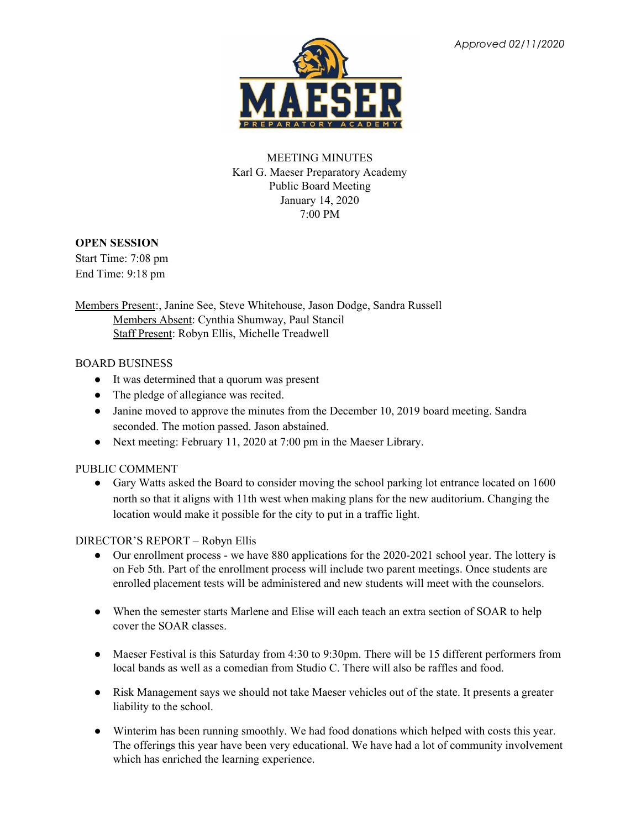

# MEETING MINUTES Karl G. Maeser Preparatory Academy Public Board Meeting January 14, 2020 7:00 PM

### **OPEN SESSION**

Start Time: 7:08 pm End Time: 9:18 pm

Members Present:, Janine See, Steve Whitehouse, Jason Dodge, Sandra Russell Members Absent: Cynthia Shumway, Paul Stancil Staff Present: Robyn Ellis, Michelle Treadwell

### BOARD BUSINESS

- It was determined that a quorum was present
- The pledge of allegiance was recited.
- Janine moved to approve the minutes from the December 10, 2019 board meeting. Sandra seconded. The motion passed. Jason abstained.
- Next meeting: February 11, 2020 at 7:00 pm in the Maeser Library.

# PUBLIC COMMENT

● Gary Watts asked the Board to consider moving the school parking lot entrance located on 1600 north so that it aligns with 11th west when making plans for the new auditorium. Changing the location would make it possible for the city to put in a traffic light.

# DIRECTOR'S REPORT – Robyn Ellis

- Our enrollment process we have 880 applications for the 2020-2021 school year. The lottery is on Feb 5th. Part of the enrollment process will include two parent meetings. Once students are enrolled placement tests will be administered and new students will meet with the counselors.
- When the semester starts Marlene and Elise will each teach an extra section of SOAR to help cover the SOAR classes.
- Maeser Festival is this Saturday from 4:30 to 9:30pm. There will be 15 different performers from local bands as well as a comedian from Studio C. There will also be raffles and food.
- Risk Management says we should not take Maeser vehicles out of the state. It presents a greater liability to the school.
- Winterim has been running smoothly. We had food donations which helped with costs this year. The offerings this year have been very educational. We have had a lot of community involvement which has enriched the learning experience.